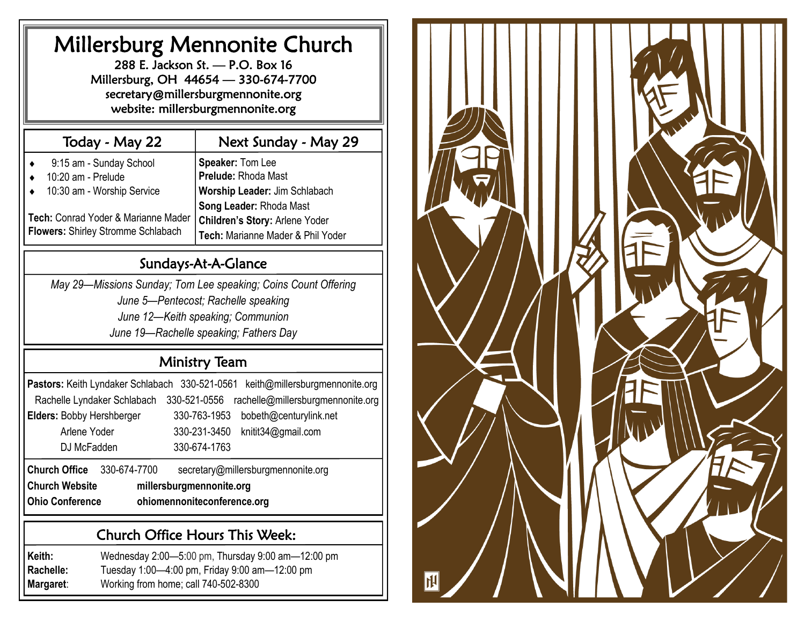# Millersburg Mennonite Church

288 E. Jackson St. — P.O. Box 16 Millersburg, OH 44654 — 330-674-7700 secretary@millersburgmennonite.org website: millersburgmennonite.org

# Today - May 22

# Next Sunday - May 29

| 9:15 am - Sunday School<br>10:20 am - Prelude | Speaker: Tom Lee<br>Prelude: Rhoda Mast |
|-----------------------------------------------|-----------------------------------------|
| 10:30 am - Worship Service                    | Worship Leader: Jim Schlabach           |
|                                               | Song Leader: Rhoda Mast                 |
| Tech: Conrad Yoder & Marianne Mader           | <b>Children's Story: Arlene Yoder</b>   |
| Flowers: Shirley Stromme Schlabach            | Tech: Marianne Mader & Phil Yoder       |

# Sundays-At-A-Glance

*May 29—Missions Sunday; Tom Lee speaking; Coins Count Offering June 5—Pentecost; Rachelle speaking June 12—Keith speaking; Communion June 19—Rachelle speaking; Fathers Day*

# Ministry Team

|                                      |                                                   | Pastors: Keith Lyndaker Schlabach 330-521-0561 keith@millersburgmennonite.org |  |  |  |
|--------------------------------------|---------------------------------------------------|-------------------------------------------------------------------------------|--|--|--|
|                                      | Rachelle Lyndaker Schlabach                       | rachelle@millersburgmennonite.org<br>330-521-0556                             |  |  |  |
|                                      | Elders: Bobby Hershberger                         | 330-763-1953<br>bobeth@centurylink.net                                        |  |  |  |
|                                      | Arlene Yoder                                      | 330-231-3450<br>knitit34@gmail.com                                            |  |  |  |
| DJ McFadden                          |                                                   | 330-674-1763                                                                  |  |  |  |
| <b>Church Office</b><br>330-674-7700 |                                                   | secretary@millersburgmennonite.org                                            |  |  |  |
|                                      | <b>Church Website</b><br>millersburgmennonite.org |                                                                               |  |  |  |

**Ohio Conference ohiomennoniteconference.org**

# Church Office Hours This Week:

**Keith:** Wednesday 2:00—5:00 pm, Thursday 9:00 am—12:00 pm **Rachelle:** Tuesday 1:00—4:00 pm, Friday 9:00 am—12:00 pm **Margaret**: Working from home; call 740-502-8300

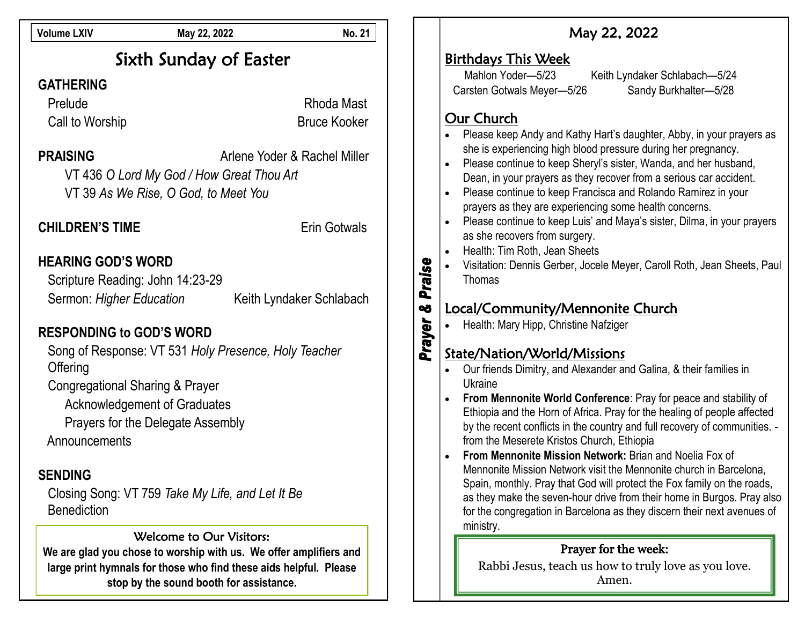| <b>Volume LXIV</b>                                                                                                                                                                          | May 22, 2022                                                                                                                                                                                                         | <b>No. 21</b> | May 22, 2022                                                                                                                                                                                                                                                                                                                                                                                                                                                                                                                                                                                                                                                                                                                                                           |  |
|---------------------------------------------------------------------------------------------------------------------------------------------------------------------------------------------|----------------------------------------------------------------------------------------------------------------------------------------------------------------------------------------------------------------------|---------------|------------------------------------------------------------------------------------------------------------------------------------------------------------------------------------------------------------------------------------------------------------------------------------------------------------------------------------------------------------------------------------------------------------------------------------------------------------------------------------------------------------------------------------------------------------------------------------------------------------------------------------------------------------------------------------------------------------------------------------------------------------------------|--|
| Sixth Sunday of Easter<br><b>GATHERING</b>                                                                                                                                                  |                                                                                                                                                                                                                      |               | <b>Birthdays This Week</b><br>Mahlon Yoder-5/23<br>Keith Lyndaker Schlabach-5/24<br>Sandy Burkhalter-5/28<br>Carsten Gotwals Meyer-5/26                                                                                                                                                                                                                                                                                                                                                                                                                                                                                                                                                                                                                                |  |
| Prelude                                                                                                                                                                                     | Rhoda Mast                                                                                                                                                                                                           |               |                                                                                                                                                                                                                                                                                                                                                                                                                                                                                                                                                                                                                                                                                                                                                                        |  |
| Call to Worship                                                                                                                                                                             | <b>Bruce Kooker</b>                                                                                                                                                                                                  |               | Our Church<br>Please keep Andy and Kathy Hart's daughter, Abby, in your prayers as                                                                                                                                                                                                                                                                                                                                                                                                                                                                                                                                                                                                                                                                                     |  |
| <b>PRAISING</b>                                                                                                                                                                             | Arlene Yoder & Rachel Miller<br>VT 436 O Lord My God / How Great Thou Art<br>VT 39 As We Rise, O God, to Meet You                                                                                                    |               | she is experiencing high blood pressure during her pregnancy.<br>Please continue to keep Sheryl's sister, Wanda, and her husband,<br>Dean, in your prayers as they recover from a serious car accident.<br>Please continue to keep Francisca and Rolando Ramirez in your                                                                                                                                                                                                                                                                                                                                                                                                                                                                                               |  |
| <b>CHILDREN'S TIME</b>                                                                                                                                                                      | <b>Erin Gotwals</b>                                                                                                                                                                                                  |               | prayers as they are experiencing some health concerns.<br>Please continue to keep Luis' and Maya's sister, Dilma, in your prayers<br>as she recovers from surgery.                                                                                                                                                                                                                                                                                                                                                                                                                                                                                                                                                                                                     |  |
| <b>HEARING GOD'S WORD</b><br>Scripture Reading: John 14:23-29                                                                                                                               |                                                                                                                                                                                                                      | Praise        | Health: Tim Roth, Jean Sheets<br>Visitation: Dennis Gerber, Jocele Meyer, Caroll Roth, Jean Sheets, Paul<br>Thomas                                                                                                                                                                                                                                                                                                                                                                                                                                                                                                                                                                                                                                                     |  |
| Sermon: Higher Education                                                                                                                                                                    | Keith Lyndaker Schlabach                                                                                                                                                                                             | oð            | Local/Community/Mennonite Church                                                                                                                                                                                                                                                                                                                                                                                                                                                                                                                                                                                                                                                                                                                                       |  |
| <b>RESPONDING to GOD'S WORD</b>                                                                                                                                                             |                                                                                                                                                                                                                      |               | Prayer<br>Health: Mary Hipp, Christine Nafziger                                                                                                                                                                                                                                                                                                                                                                                                                                                                                                                                                                                                                                                                                                                        |  |
| Offering<br><b>Congregational Sharing &amp; Prayer</b><br><b>Acknowledgement of Graduates</b><br>Prayers for the Delegate Assembly<br>Announcements<br><b>SENDING</b><br><b>Benediction</b> | Song of Response: VT 531 Holy Presence, Holy Teacher<br>Closing Song: VT 759 Take My Life, and Let It Be                                                                                                             |               | State/Nation/World/Missions<br>Our friends Dimitry, and Alexander and Galina, & their families in<br>Ukraine<br>From Mennonite World Conference: Pray for peace and stability of<br>Ethiopia and the Horn of Africa. Pray for the healing of people affected<br>by the recent conflicts in the country and full recovery of communities. -<br>from the Meserete Kristos Church, Ethiopia<br>From Mennonite Mission Network: Brian and Noelia Fox of<br>Mennonite Mission Network visit the Mennonite church in Barcelona,<br>Spain, monthly. Pray that God will protect the Fox family on the roads,<br>as they make the seven-hour drive from their home in Burgos. Pray also<br>for the congregation in Barcelona as they discern their next avenues of<br>ministry. |  |
|                                                                                                                                                                                             | <b>Welcome to Our Visitors:</b><br>We are glad you chose to worship with us. We offer amplifiers and<br>large print hymnals for those who find these aids helpful. Please<br>stop by the sound booth for assistance. |               | Prayer for the week:<br>Rabbi Jesus, teach us how to truly love as you love.<br>Amen.                                                                                                                                                                                                                                                                                                                                                                                                                                                                                                                                                                                                                                                                                  |  |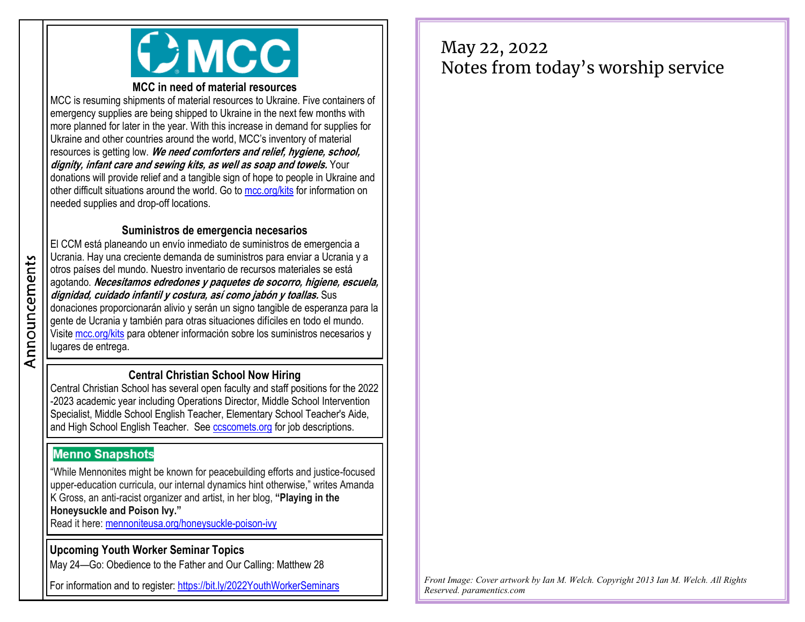

#### **MCC in need of material resources**

MCC is resuming shipments of material resources to Ukraine. Five containers of emergency supplies are being shipped to Ukraine in the next few months with more planned for later in the year. With this increase in demand for supplies for Ukraine and other countries around the world, MCC's inventory of material resources is getting low. **We need comforters and relief, hygiene, school, dignity, infant care and sewing kits, as well as soap and towels.** Your donations will provide relief and a tangible sign of hope to people in Ukraine and other difficult situations around the world. Go to [mcc.org/kits](https://mcc.org/get-involved/kits) for information on needed supplies and drop-off locations.

#### **Suministros de emergencia necesarios**

El CCM está planeando un envío inmediato de suministros de emergencia a Ucrania. Hay una creciente demanda de suministros para enviar a Ucrania y a otros países del mundo. Nuestro inventario de recursos materiales se está agotando. **Necesitamos edredones y paquetes de socorro, higiene, escuela, dignidad, cuidado infantil y costura, así como jabón y toallas.** Sus donaciones proporcionarán alivio y serán un signo tangible de esperanza para la gente de Ucrania y también para otras situaciones difíciles en todo el mundo. Visite [mcc.org/kits](https://mcc.org/get-involved/kits) para obtener información sobre los suministros necesarios y lugares de entrega.

### **Central Christian School Now Hiring**

Central Christian School has several open faculty and staff positions for the 2022 -2023 academic year including Operations Director, Middle School Intervention Specialist, Middle School English Teacher, Elementary School Teacher's Aide, and High School English Teacher. See [ccscomets.org](https://www.ccscomets.org/about/employment.cfm) for job descriptions.

## **Menno Snapshots**

"While Mennonites might be known for peacebuilding efforts and justice-focused upper-education curricula, our internal dynamics hint otherwise," writes Amanda K Gross, an anti-racist organizer and artist, in her blog, **"Playing in the Honeysuckle and Poison Ivy."**

Read it here: [mennoniteusa.org/honeysuckle-poison-ivy](https://www.mennoniteusa.org/menno-snapshots/playing-in-the-honeysuckle-and-poison-ivy-together/)

### **Upcoming Youth Worker Seminar Topics**

May 24—Go: Obedience to the Father and Our Calling: Matthew 28

For information and to register: <https://bit.ly/2022YouthWorkerSeminars>

# May 22, 2022 Notes from today's worship service